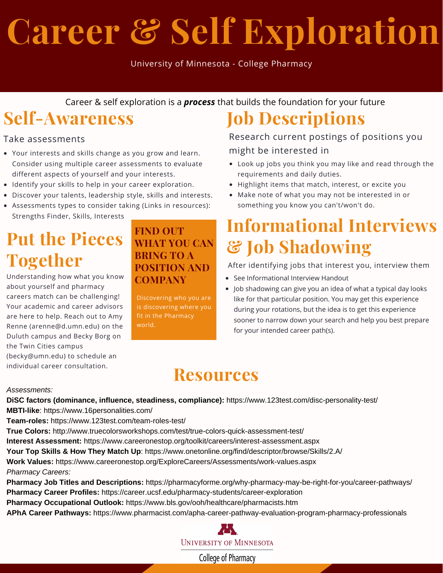# **Career & Self Exploration**

University of Minnesota - College Pharmacy

Career & self exploration is a *process* that builds the foundation for your future

### **Self-Awareness**

#### Take assessments

- Your interests and skills change as you grow and learn. Consider using multiple career assessments to evaluate different aspects of yourself and your interests.
- Identify your skills to help in your career exploration.
- Discover your talents, leadership style, skills and interests.
- Assessments types to consider taking (Links in resources): Strengths Finder, Skills, Interests

### **Put the Pieces Together**

Understanding how what you know about yourself and pharmacy careers match can be challenging! Your academic and career advisors are here to help. Reach out to Amy Renne (arenne@d.umn.edu) on the Duluth campus and Becky Borg on the Twin Cities campus

(becky@umn.edu) to schedule an individual career consultation.

#### **FIND OUT WHAT YOU CAN BRING TO A POSITION AND COMPANY**

Discovering who you are is discovering where you fit in the Pharmacy world.

### **Job Descriptions**

Research current postings of positions you might be interested in

- Look up jobs you think you may like and read through the requirements and daily duties.
- Highlight items that match, interest, or excite you
- Make note of what you may not be interested in or something you know you can't/won't do.

### **Informational Interviews & Job Shadowing**

After identifying jobs that interest you, interview them

- See Informational Interview Handout
- Job shadowing can give you an idea of what a typical day looks like for that particular position. You may get this experience during your rotations, but the idea is to get this experience sooner to narrow down your search and help you best prepare for your intended career path(s).

### **Resources**

#### *Assessments:*

**DiSC factors (dominance, influence, steadiness, compliance):** https://www.123test.com/disc-personality-test/ **MBTI-like**: https://www.16personalities.com/

**Team-roles:** https://www.123test.com/team-roles-test/

**True Colors:** http://www.truecolorsworkshops.com/test/true-colors-quick-assessment-test/

**Interest Assessment:** https://www.careeronestop.org/toolkit/careers/interest-assessment.aspx

**Your Top Skills & How They Match Up**: https://www.onetonline.org/find/descriptor/browse/Skills/2.A/

**Work Values:** https://www.careeronestop.org/ExploreCareers/Assessments/work-values.aspx

*Pharmacy Careers:*

**Pharmacy Job Titles and Descriptions:** https://pharmacyforme.org/why-pharmacy-may-be-right-for-you/career-pathways/ **Pharmacy Career Profiles:** https://career.ucsf.edu/pharmacy-students/career-exploration

**Pharmacy Occupational Outlook:** https://www.bls.gov/ooh/healthcare/pharmacists.htm

**APhA Career Pathways:** https://www.pharmacist.com/apha-career-pathway-evaluation-program-pharmacy-professionals



College of Pharmacy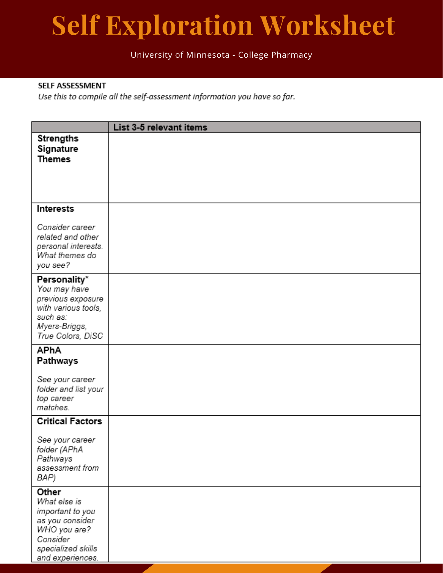# **Self Exploration Worksheet**

#### University of Minnesota - College Pharmacy

#### SELF ASSESSMENT

Use this to compile all the self-assessment information you have so far.

|                                                                                                                                    | List 3-5 relevant items |
|------------------------------------------------------------------------------------------------------------------------------------|-------------------------|
| <b>Strengths</b><br>Signature<br><b>Themes</b>                                                                                     |                         |
| Interests                                                                                                                          |                         |
| Consider career<br>related and other<br>personal interests.<br>What themes do<br>you see?                                          |                         |
| Personality*<br>You may have<br>previous exposure<br>with various tools,<br>such as:<br>Myers-Briggs,<br>True Colors, DiSC         |                         |
| APhA<br>Pathways                                                                                                                   |                         |
| See your career<br>folder and list your<br>top career<br>matches.                                                                  |                         |
| <b>Critical Factors</b>                                                                                                            |                         |
| See your career<br>folder (APhA<br>Pathways<br>assessment from<br>BAP)                                                             |                         |
| Other<br>What else is<br>important to you<br>as you consider<br>WHO you are?<br>Consider<br>specialized skills<br>and experiences. |                         |